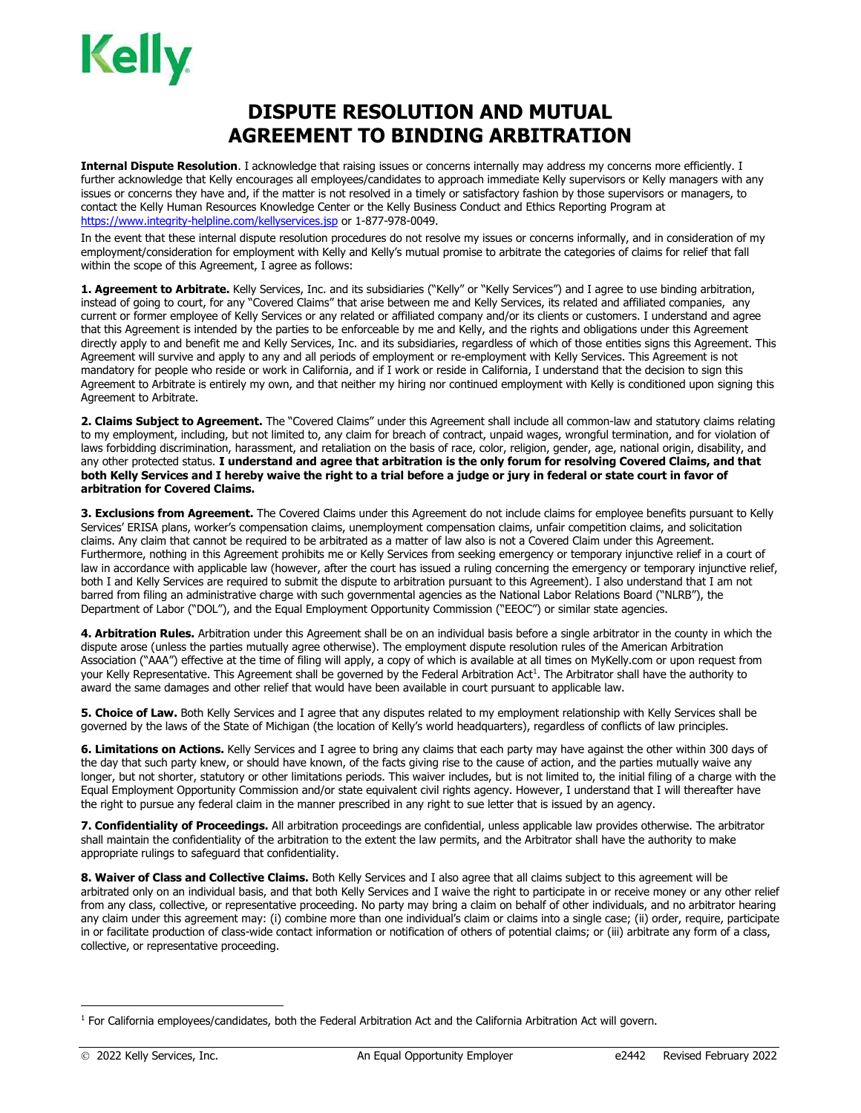## **DISPUTE RESOLUTION AND MUTUAL AGREEMENT TO BINDING ARBITRATION**

**Internal Dispute Resolution**. I acknowledge that raising issues or concerns internally may address my concerns more efficiently. I further acknowledge that Kelly encourages all employees/candidates to approach immediate Kelly supervisors or Kelly managers with any issues or concerns they have and, if the matter is not resolved in a timely or satisfactory fashion by those supervisors or managers, to contact the Kelly Human Resources Knowledge Center or the Kelly Business Conduct and Ethics Reporting Program at <https://www.integrity-helpline.com/kellyservices.jsp> or 1-877-978-0049.

In the event that these internal dispute resolution procedures do not resolve my issues or concerns informally, and in consideration of my employment/consideration for employment with Kelly and Kelly's mutual promise to arbitrate the categories of claims for relief that fall within the scope of this Agreement, I agree as follows:

**1. Agreement to Arbitrate.** Kelly Services, Inc. and its subsidiaries ("Kelly" or "Kelly Services") and I agree to use binding arbitration, instead of going to court, for any "Covered Claims" that arise between me and Kelly Services, its related and affiliated companies, any current or former employee of Kelly Services or any related or affiliated company and/or its clients or customers. I understand and agree that this Agreement is intended by the parties to be enforceable by me and Kelly, and the rights and obligations under this Agreement directly apply to and benefit me and Kelly Services, Inc. and its subsidiaries, regardless of which of those entities signs this Agreement. This Agreement will survive and apply to any and all periods of employment or re-employment with Kelly Services. This Agreement is not mandatory for people who reside or work in California, and if I work or reside in California, I understand that the decision to sign this Agreement to Arbitrate is entirely my own, and that neither my hiring nor continued employment with Kelly is conditioned upon signing this Agreement to Arbitrate.

**2. Claims Subject to Agreement.** The "Covered Claims" under this Agreement shall include all common-law and statutory claims relating to my employment, including, but not limited to, any claim for breach of contract, unpaid wages, wrongful termination, and for violation of laws forbidding discrimination, harassment, and retaliation on the basis of race, color, religion, gender, age, national origin, disability, and any other protected status. **I understand and agree that arbitration is the only forum for resolving Covered Claims, and that both Kelly Services and I hereby waive the right to a trial before a judge or jury in federal or state court in favor of arbitration for Covered Claims.**

**3. Exclusions from Agreement.** The Covered Claims under this Agreement do not include claims for employee benefits pursuant to Kelly Services' ERISA plans, worker's compensation claims, unemployment compensation claims, unfair competition claims, and solicitation claims. Any claim that cannot be required to be arbitrated as a matter of law also is not a Covered Claim under this Agreement. Furthermore, nothing in this Agreement prohibits me or Kelly Services from seeking emergency or temporary injunctive relief in a court of law in accordance with applicable law (however, after the court has issued a ruling concerning the emergency or temporary injunctive relief, both I and Kelly Services are required to submit the dispute to arbitration pursuant to this Agreement). I also understand that I am not barred from filing an administrative charge with such governmental agencies as the National Labor Relations Board ("NLRB"), the Department of Labor ("DOL"), and the Equal Employment Opportunity Commission ("EEOC") or similar state agencies.

**4. Arbitration Rules.** Arbitration under this Agreement shall be on an individual basis before a single arbitrator in the county in which the dispute arose (unless the parties mutually agree otherwise). The employment dispute resolution rules of the American Arbitration Association ("AAA") effective at the time of filing will apply, a copy of which is available at all times on MyKelly.com or upon request from your Kelly Representative. This Agreement shall be governed by the Federal Arbitration Act<sup>1</sup>. The Arbitrator shall have the authority to award the same damages and other relief that would have been available in court pursuant to applicable law.

**5. Choice of Law.** Both Kelly Services and I agree that any disputes related to my employment relationship with Kelly Services shall be governed by the laws of the State of Michigan (the location of Kelly's world headquarters), regardless of conflicts of law principles.

**6. Limitations on Actions.** Kelly Services and I agree to bring any claims that each party may have against the other within 300 days of the day that such party knew, or should have known, of the facts giving rise to the cause of action, and the parties mutually waive any longer, but not shorter, statutory or other limitations periods. This waiver includes, but is not limited to, the initial filing of a charge with the Equal Employment Opportunity Commission and/or state equivalent civil rights agency. However, I understand that I will thereafter have the right to pursue any federal claim in the manner prescribed in any right to sue letter that is issued by an agency.

**7. Confidentiality of Proceedings.** All arbitration proceedings are confidential, unless applicable law provides otherwise. The arbitrator shall maintain the confidentiality of the arbitration to the extent the law permits, and the Arbitrator shall have the authority to make appropriate rulings to safeguard that confidentiality.

**8. Waiver of Class and Collective Claims.** Both Kelly Services and I also agree that all claims subject to this agreement will be arbitrated only on an individual basis, and that both Kelly Services and I waive the right to participate in or receive money or any other relief from any class, collective, or representative proceeding. No party may bring a claim on behalf of other individuals, and no arbitrator hearing any claim under this agreement may: (i) combine more than one individual's claim or claims into a single case; (ii) order, require, participate in or facilitate production of class-wide contact information or notification of others of potential claims; or (iii) arbitrate any form of a class, collective, or representative proceeding.

 $1$  For California employees/candidates, both the Federal Arbitration Act and the California Arbitration Act will govern.